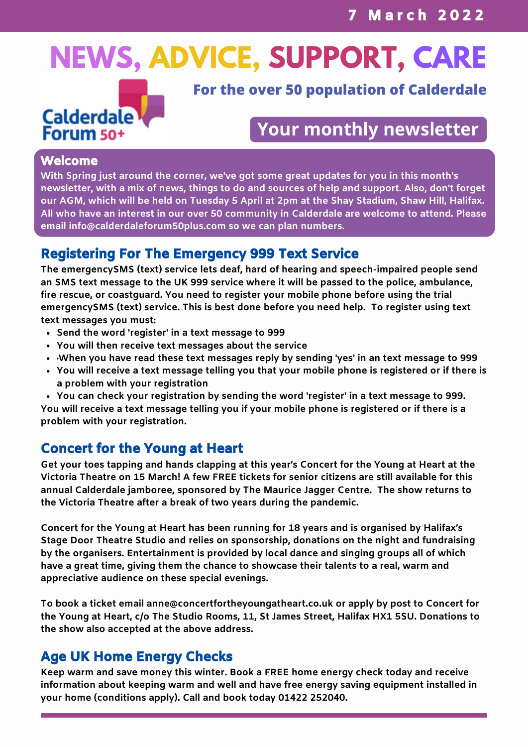# **NEWS, ADVICE, SUPPORT, CARE**



**For the over 50 population of Calderdale**

# **Your monthly newsletter**

#### Welcome

**With Spring just around the corner, we've got some great updates for you in this month's newsletter, with a mix of news, things to do and sources of help and support. Also, don't forget** our AGM, which will be held on Tuesday 5 April at 2pm at the Shay Stadium, Shaw Hill, Halifax. **All who have an interest in our over 50 community in Calderdale are welcome to attend. Please email info@calderdaleforum50plus.com so we can plan numbers.**

## Registering For The Emergency 999 Text Service

**The emergencySMS (text) service lets deaf, hard of hearing and speech-impaired people send an SMS text message to the UK 999 service where it will be passed to the police, ambulance, fire rescue, or coastguard. You need to register your mobile phone before using the trial emergencySMS (text) service. This is best done before you need help. To register using text text messages you must:**

- **Send the word 'register' in a text message to 999**
- **You will then receive text messages about the service**
- **·When you have read these text messages reply by sending 'yes' in an text message to 999**
- **You will receive a text message telling you that your mobile phone is registered or if there is a problem with your registration**
- **You can check your registration by sending the word 'register' in a text message to 999.**

You will receive a text message telling you if your mobile phone is registered or if there is a **problem with your registration.**

# Concert for the Young at Heart

**Get your toes tapping and hands clapping at this year's Concert for the Young at Heart at the Victoria Theatre on 15 March! A few FREE tickets for senior citizens are still available for this annual Calderdale jamboree, sponsored by The Maurice Jagger Centre. The show returns to the Victoria Theatre after a break of two years during the pandemic.**

**Concert for the Young at Heart has been running for 18 years and is organised by Halifax's Stage Door Theatre Studio and relies on sponsorship, donations on the night and fundraising by the organisers. Entertainment is provided by local dance and singing groups all of which have a great time, giving them the chance to showcase their talents to a real, warm and appreciative audience on these special evenings.**

**To book a ticket email [anne@concertfortheyoungatheart.co.uk](mailto:anne@concertfortheyoungatheart.co.uk) or apply by post to Concert for the Young at Heart, c/o The Studio Rooms, 11, St James Street, Halifax HX1 5SU. Donations to the show also accepted at the above address.**

## Age UK Home Energy Checks

**Keep warm and save money this winter. Book a FREE home energy check today and receive information about keeping warm and well and have free energy saving equipment installed in your home (conditions apply). Call and book today 01422 252040.**